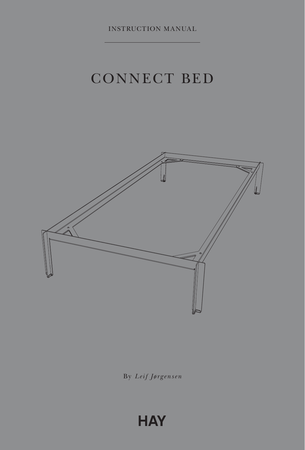INSTRUCTION MANUAL

## CONNECT BED



By *Leif Jørgensen*

**HAY**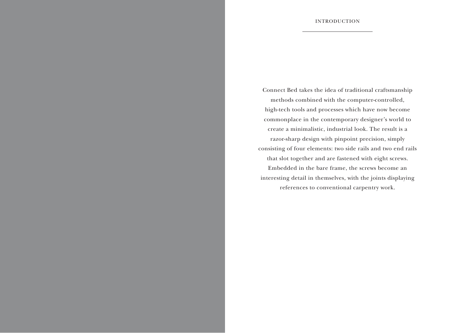Connect Bed takes the idea of traditional craftsmanship methods combined with the computer-controlled, high-tech tools and processes which have now become commonplace in the contemporary designer's world to create a minimalistic, industrial look. The result is a razor-sharp design with pinpoint precision, simply consisting of four elements: two side rails and two end rails that slot together and are fastened with eight screws. Embedded in the bare frame, the screws become an interesting detail in themselves, with the joints displaying references to conventional carpentry work.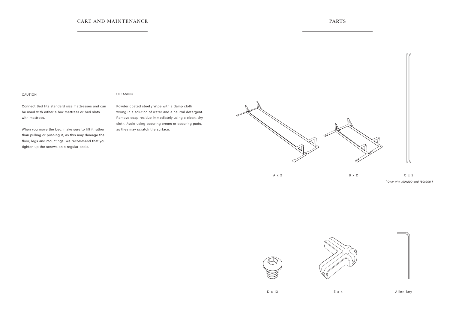## CARE AND MAINTENANCE PARTS

## CAUTION

CLEANING

Connect Bed fits standard size mattresses and can be used with either a box mattress or bed slats with mattress.

When you move the bed, make sure to lift it rather than pulling or pushing it, as this may damage the floor, legs and mountings. We recommend that you tighten up the screws on a regular basis.

Powder coated steel / Wipe with a damp cloth wrung in a solution of water and a neutral detergent. Remove soap residue immediately using a clean, dry cloth. Avoid using scouring cream or scouring pads, as they may scratch the surface.



| A x 2 | B x 2 | C x 2                           |
|-------|-------|---------------------------------|
|       |       | (Only with 160x200 and 180x200) |

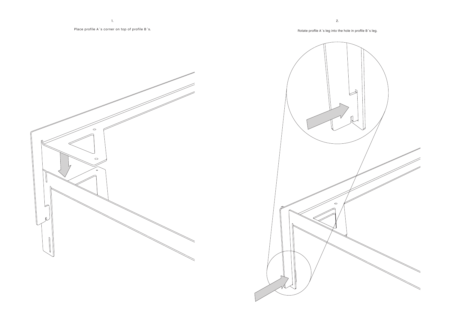1.

Rotate profile A´s leg into the hole in profile B´s leg.



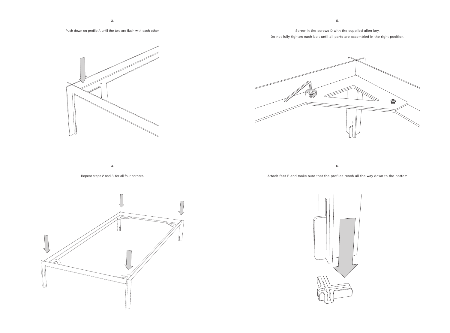





6.

Attach feet E and make sure that the profiles reach all the way down to the bottom



4.

Repeat steps 2 and 3. for all four corners.

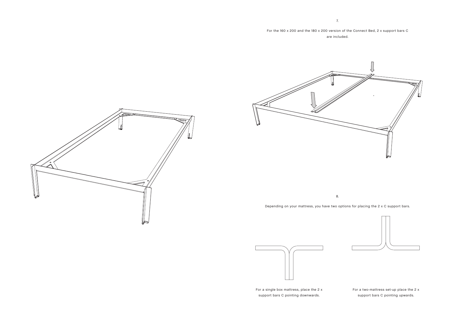For the 160 x 200 and the 180 x 200 version of the Connect Bed, 2 x support bars C

are included.



8.

Depending on your mattress, you have two options for placing the 2 x C support bars.





support bars C pointing downwards.

For a two-mattress set-up place the 2 x support bars C pointing upwards.

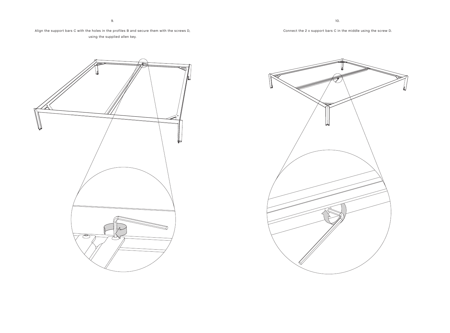## Align the support bars C with the holes in the profiles B and secure them with the screws D, using the supplied allen key.

10.



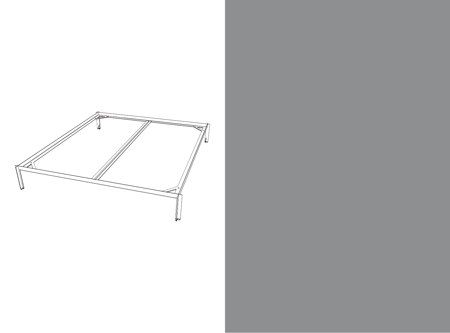